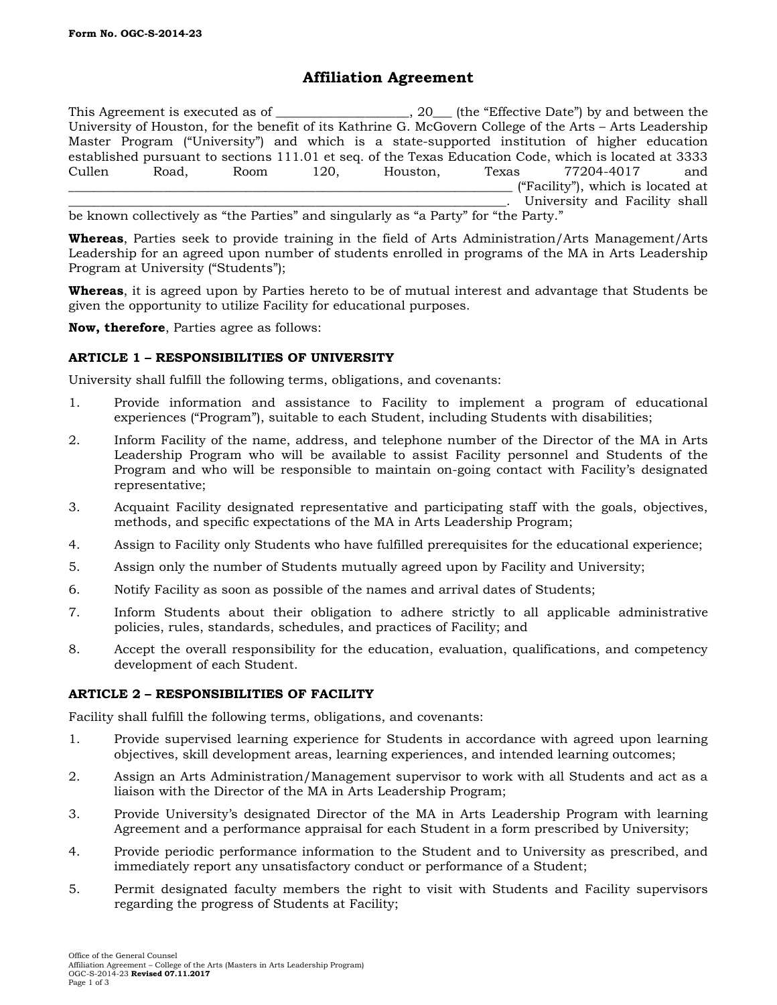# **Affiliation Agreement**

This Agreement is executed as of \_\_\_\_\_\_\_\_\_\_\_\_\_\_\_\_, 20\_\_\_ (the "Effective Date") by and between the University of Houston, for the benefit of its Kathrine G. McGovern College of the Arts – Arts Leadership Master Program ("University") and which is a state-supported institution of higher education established pursuant to sections 111.01 et seq. of the Texas Education Code, which is located at 3333 Cullen Road, Room 120, Houston, Texas 77204-4017 and \_\_\_\_\_\_\_\_\_\_\_\_\_\_\_\_\_\_\_\_\_\_\_\_\_\_\_\_\_\_\_\_\_\_\_\_\_\_\_\_\_\_\_\_\_\_\_\_\_\_\_\_\_\_\_\_\_\_\_\_\_\_\_\_\_\_\_\_\_\_ ("Facility"), which is located at University and Facility shall

be known collectively as "the Parties" and singularly as "a Party" for "the Party."

**Whereas**, Parties seek to provide training in the field of Arts Administration/Arts Management/Arts Leadership for an agreed upon number of students enrolled in programs of the MA in Arts Leadership Program at University ("Students");

**Whereas**, it is agreed upon by Parties hereto to be of mutual interest and advantage that Students be given the opportunity to utilize Facility for educational purposes.

**Now, therefore**, Parties agree as follows:

## **ARTICLE 1 – RESPONSIBILITIES OF UNIVERSITY**

University shall fulfill the following terms, obligations, and covenants:

- 1. Provide information and assistance to Facility to implement a program of educational experiences ("Program"), suitable to each Student, including Students with disabilities;
- 2. Inform Facility of the name, address, and telephone number of the Director of the MA in Arts Leadership Program who will be available to assist Facility personnel and Students of the Program and who will be responsible to maintain on-going contact with Facility's designated representative;
- 3. Acquaint Facility designated representative and participating staff with the goals, objectives, methods, and specific expectations of the MA in Arts Leadership Program;
- 4. Assign to Facility only Students who have fulfilled prerequisites for the educational experience;
- 5. Assign only the number of Students mutually agreed upon by Facility and University;
- 6. Notify Facility as soon as possible of the names and arrival dates of Students;
- 7. Inform Students about their obligation to adhere strictly to all applicable administrative policies, rules, standards, schedules, and practices of Facility; and
- 8. Accept the overall responsibility for the education, evaluation, qualifications, and competency development of each Student.

#### **ARTICLE 2 – RESPONSIBILITIES OF FACILITY**

Facility shall fulfill the following terms, obligations, and covenants:

- 1. Provide supervised learning experience for Students in accordance with agreed upon learning objectives, skill development areas, learning experiences, and intended learning outcomes;
- 2. Assign an Arts Administration/Management supervisor to work with all Students and act as a liaison with the Director of the MA in Arts Leadership Program;
- 3. Provide University's designated Director of the MA in Arts Leadership Program with learning Agreement and a performance appraisal for each Student in a form prescribed by University;
- 4. Provide periodic performance information to the Student and to University as prescribed, and immediately report any unsatisfactory conduct or performance of a Student;
- 5. Permit designated faculty members the right to visit with Students and Facility supervisors regarding the progress of Students at Facility;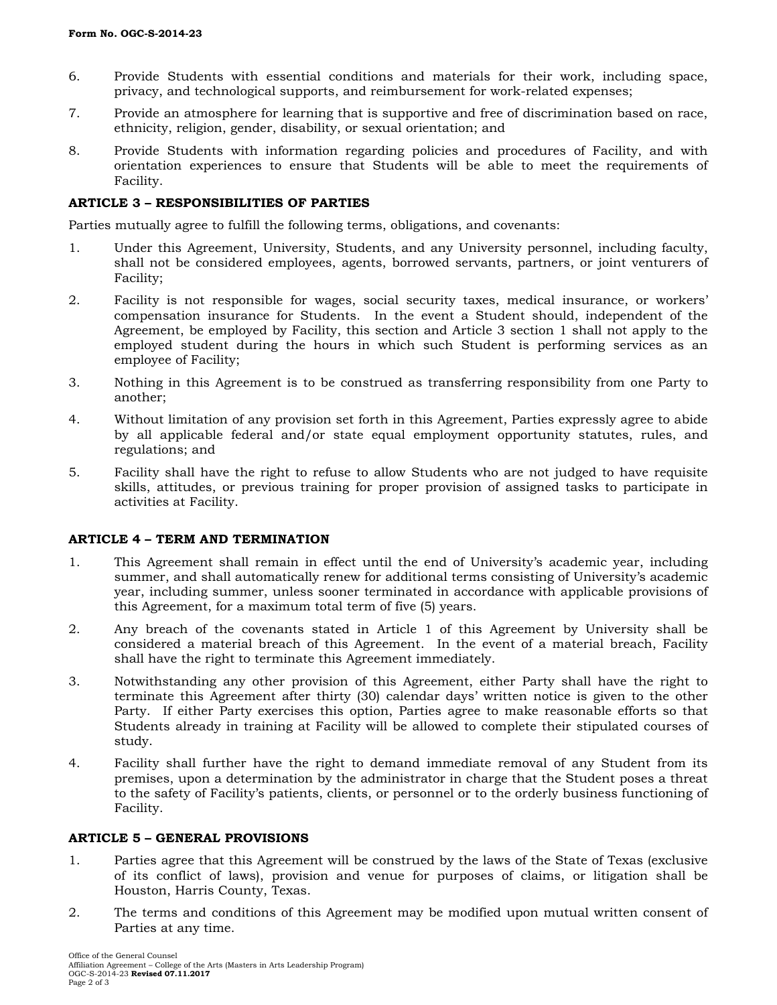- 6. Provide Students with essential conditions and materials for their work, including space, privacy, and technological supports, and reimbursement for work-related expenses;
- 7. Provide an atmosphere for learning that is supportive and free of discrimination based on race, ethnicity, religion, gender, disability, or sexual orientation; and
- 8. Provide Students with information regarding policies and procedures of Facility, and with orientation experiences to ensure that Students will be able to meet the requirements of Facility.

### **ARTICLE 3 – RESPONSIBILITIES OF PARTIES**

Parties mutually agree to fulfill the following terms, obligations, and covenants:

- 1. Under this Agreement, University, Students, and any University personnel, including faculty, shall not be considered employees, agents, borrowed servants, partners, or joint venturers of Facility;
- 2. Facility is not responsible for wages, social security taxes, medical insurance, or workers' compensation insurance for Students. In the event a Student should, independent of the Agreement, be employed by Facility, this section and Article 3 section 1 shall not apply to the employed student during the hours in which such Student is performing services as an employee of Facility;
- 3. Nothing in this Agreement is to be construed as transferring responsibility from one Party to another;
- 4. Without limitation of any provision set forth in this Agreement, Parties expressly agree to abide by all applicable federal and/or state equal employment opportunity statutes, rules, and regulations; and
- 5. Facility shall have the right to refuse to allow Students who are not judged to have requisite skills, attitudes, or previous training for proper provision of assigned tasks to participate in activities at Facility.

#### **ARTICLE 4 – TERM AND TERMINATION**

- 1. This Agreement shall remain in effect until the end of University's academic year, including summer, and shall automatically renew for additional terms consisting of University's academic year, including summer, unless sooner terminated in accordance with applicable provisions of this Agreement, for a maximum total term of five (5) years.
- 2. Any breach of the covenants stated in Article 1 of this Agreement by University shall be considered a material breach of this Agreement. In the event of a material breach, Facility shall have the right to terminate this Agreement immediately.
- 3. Notwithstanding any other provision of this Agreement, either Party shall have the right to terminate this Agreement after thirty (30) calendar days' written notice is given to the other Party. If either Party exercises this option, Parties agree to make reasonable efforts so that Students already in training at Facility will be allowed to complete their stipulated courses of study.
- 4. Facility shall further have the right to demand immediate removal of any Student from its premises, upon a determination by the administrator in charge that the Student poses a threat to the safety of Facility's patients, clients, or personnel or to the orderly business functioning of Facility.

#### **ARTICLE 5 – GENERAL PROVISIONS**

- 1. Parties agree that this Agreement will be construed by the laws of the State of Texas (exclusive of its conflict of laws), provision and venue for purposes of claims, or litigation shall be Houston, Harris County, Texas.
- 2. The terms and conditions of this Agreement may be modified upon mutual written consent of Parties at any time.